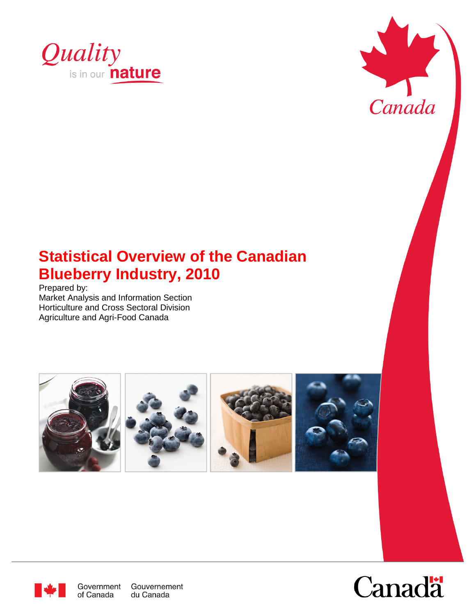



# **Statistical Overview of the Canadian Blueberry Industry, 2010**

Prepared by: Market Analysis and Information Section Horticulture and Cross Sectoral Division Agriculture and Agri-Food Canada





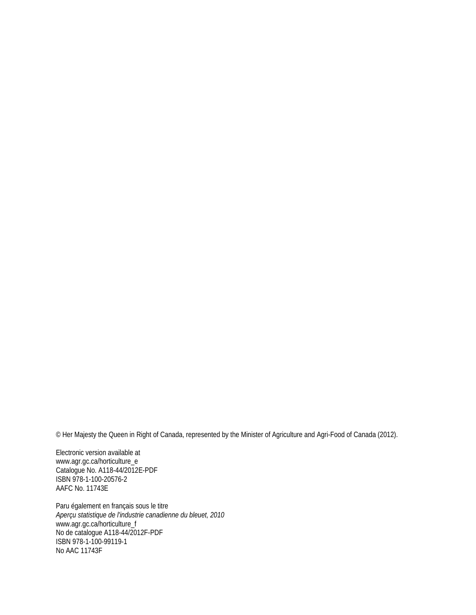© Her Majesty the Queen in Right of Canada, represented by the Minister of Agriculture and Agri-Food of Canada (2012).

Electronic version available at www.agr.gc.ca/horticulture\_e Catalogue No. A118-44/2012E-PDF ISBN 978-1-100-20576-2 AAFC No. 11743E

Paru également en français sous le titre *Aperçu statistique de l'industrie canadienne du bleuet, 2010* www.agr.gc.ca/horticulture\_f No de catalogue A118-44/2012F-PDF ISBN 978-1-100-99119-1 No AAC 11743F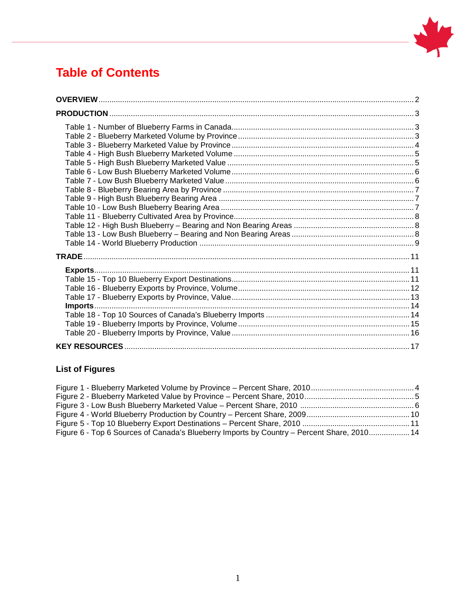

# **Table of Contents**

### **List of Figures**

| Figure 6 - Top 6 Sources of Canada's Blueberry Imports by Country - Percent Share, 2010 14 |  |
|--------------------------------------------------------------------------------------------|--|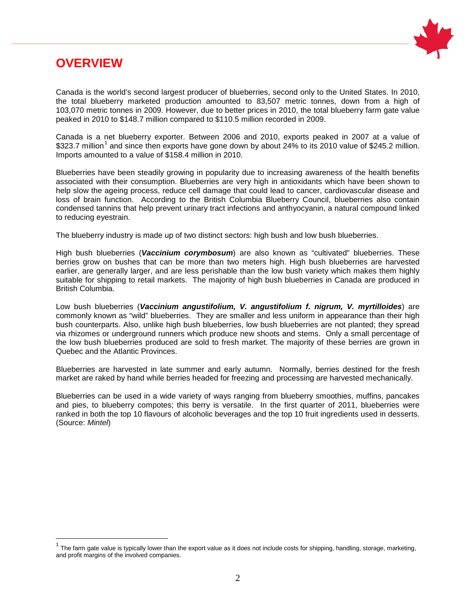<span id="page-3-0"></span>



Canada is the world's second largest producer of blueberries, second only to the United States. In 2010, the total blueberry marketed production amounted to 83,507 metric tonnes, down from a high of 103,070 metric tonnes in 2009. However, due to better prices in 2010, the total blueberry farm gate value peaked in 2010 to \$148.7 million compared to \$110.5 million recorded in 2009.

Canada is a net blueberry exporter. Between 2006 and 2010, exports peaked in 2007 at a value of \$323.7 million<sup>[1](#page-3-1)</sup> and since then exports have gone down by about 24% to its 2010 value of \$245.2 million. Imports amounted to a value of \$158.4 million in 2010.

Blueberries have been steadily growing in popularity due to increasing awareness of the health benefits associated with their consumption. Blueberries are very high in antioxidants which have been shown to help slow the ageing process, reduce cell damage that could lead to cancer, cardiovascular disease and loss of brain function. According to the British Columbia Blueberry Council, blueberries also contain condensed tannins that help prevent urinary tract infections and anthyocyanin, a natural compound linked to reducing eyestrain.

The blueberry industry is made up of two distinct sectors: high bush and low bush blueberries.

High bush blueberries (*Vaccinium corymbosum*) are also known as "cultivated" blueberries. These berries grow on bushes that can be more than two meters high. High bush blueberries are harvested earlier, are generally larger, and are less perishable than the low bush variety which makes them highly suitable for shipping to retail markets. The majority of high bush blueberries in Canada are produced in British Columbia.

Low bush blueberries (*Vaccinium angustifolium, V. angustifolium f. nigrum, V. myrtilloides*) are commonly known as "wild" blueberries. They are smaller and less uniform in appearance than their high bush counterparts. Also, unlike high bush blueberries, low bush blueberries are not planted; they spread via rhizomes or underground runners which produce new shoots and stems. Only a small percentage of the low bush blueberries produced are sold to fresh market. The majority of these berries are grown in Quebec and the Atlantic Provinces.

Blueberries are harvested in late summer and early autumn. Normally, berries destined for the fresh market are raked by hand while berries headed for freezing and processing are harvested mechanically.

Blueberries can be used in a wide variety of ways ranging from blueberry smoothies, muffins, pancakes and pies, to blueberry compotes; this berry is versatile. In the first quarter of 2011, blueberries were ranked in both the top 10 flavours of alcoholic beverages and the top 10 fruit ingredients used in desserts. (Source: *Mintel*)

<span id="page-3-1"></span> $1$  The farm gate value is typically lower than the export value as it does not include costs for shipping, handling, storage, marketing, and profit margins of the involved companies.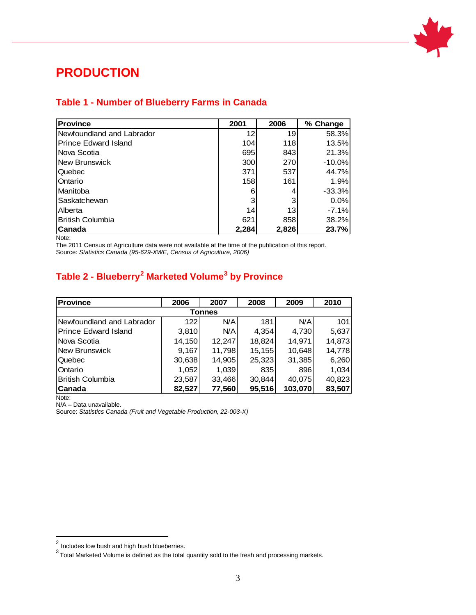

# <span id="page-4-0"></span>**PRODUCTION**

#### <span id="page-4-1"></span>**Table 1 - Number of Blueberry Farms in Canada**

| <b>Province</b>             | 2001       | 2006  | % Change |
|-----------------------------|------------|-------|----------|
| Newfoundland and Labrador   | 12         | 19    | 58.3%    |
| <b>Prince Edward Island</b> | 104        | 118   | 13.5%    |
| Nova Scotia                 | 695        | 843   | 21.3%    |
| <b>New Brunswick</b>        | 300        | 270   | $-10.0%$ |
| Quebec                      | 371        | 537   | 44.7%    |
| Ontario                     | <b>158</b> | 161   | 1.9%     |
| Manitoba                    | 6          |       | $-33.3%$ |
| Saskatchewan                | 3          | 3     | 0.0%     |
| Alberta                     | 14         | 13    | $-7.1%$  |
| <b>British Columbia</b>     | 621        | 858   | 38.2%    |
| Canada                      | 2,284      | 2,826 | 23.7%    |

Note:

The 2011 Census of Agriculture data were not available at the time of the publication of this report. Source: *Statistics Canada (95-629-XWE, Census of Agriculture, 2006)*

### <span id="page-4-2"></span>**Table 2 - Blueberry[2](#page-4-3) Marketed Volume[3](#page-4-4) by Province**

| <b>Province</b>             | 2006   | 2007       | 2008   | 2009    | 2010   |  |  |  |  |
|-----------------------------|--------|------------|--------|---------|--------|--|--|--|--|
| Tonnes                      |        |            |        |         |        |  |  |  |  |
| Newfoundland and Labrador   | 122    | <b>N/A</b> | 181    | N/A     | 101    |  |  |  |  |
| <b>Prince Edward Island</b> | 3,810  | N/A        | 4,354  | 4,730   | 5,637  |  |  |  |  |
| Nova Scotia                 | 14,150 | 12,247     | 18,824 | 14,971  | 14,873 |  |  |  |  |
| <b>New Brunswick</b>        | 9,167  | 11,798     | 15,155 | 10,648  | 14,778 |  |  |  |  |
| Quebec                      | 30,638 | 14,905     | 25,323 | 31,385  | 6,260  |  |  |  |  |
| Ontario                     | 1,052  | 1,039      | 835    | 896     | 1,034  |  |  |  |  |
| <b>British Columbia</b>     | 23,587 | 33,466     | 30,844 | 40.075  | 40,823 |  |  |  |  |
| Canada<br>$\cdots$          | 82,527 | 77,560     | 95,516 | 103,070 | 83,507 |  |  |  |  |

Note:

N/A – Data unavailable.

 $\overline{a}$  Includes low bush and high bush blueberries.

<span id="page-4-4"></span><span id="page-4-3"></span> $^3$ Total Marketed Volume is defined as the total quantity sold to the fresh and processing markets.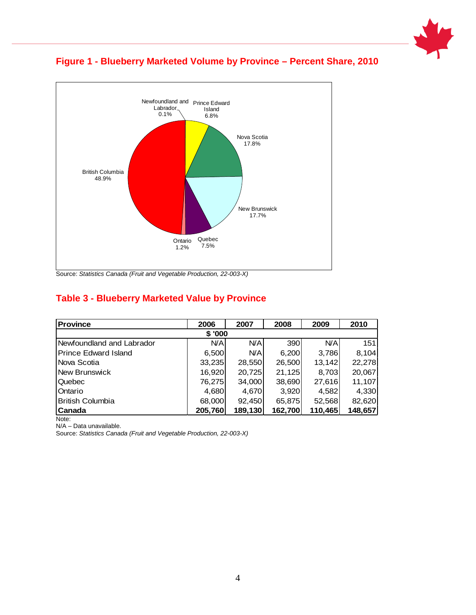



**Figure 1 - Blueberry Marketed Volume by Province – Percent Share, 2010**

Source: *Statistics Canada (Fruit and Vegetable Production, 22-003-X)* 

#### <span id="page-5-0"></span>**Table 3 - Blueberry Marketed Value by Province**

| <b>Province</b>             | 2006    | 2007       | 2008    | 2009       | 2010    |  |  |  |
|-----------------------------|---------|------------|---------|------------|---------|--|--|--|
| \$'000                      |         |            |         |            |         |  |  |  |
| Newfoundland and Labrador   | N/A     | <b>N/A</b> | 390     | <b>N/A</b> | 151     |  |  |  |
| <b>Prince Edward Island</b> | 6,500   | <b>N/A</b> | 6,200   | 3,786      | 8,104   |  |  |  |
| Nova Scotia                 | 33,235  | 28,550     | 26,500  | 13,142     | 22,278  |  |  |  |
| New Brunswick               | 16,920  | 20,725     | 21,125  | 8,703      | 20,067  |  |  |  |
| Quebec                      | 76,275  | 34,000     | 38,690  | 27,616     | 11,107  |  |  |  |
| Ontario                     | 4,680   | 4,670      | 3,920   | 4,582      | 4,330   |  |  |  |
| <b>British Columbia</b>     | 68,000  | 92,450     | 65,875  | 52,568     | 82,620  |  |  |  |
| Canada                      | 205,760 | 189,130    | 162,700 | 110,465    | 148,657 |  |  |  |
| Note:                       |         |            |         |            |         |  |  |  |

N/A – Data unavailable.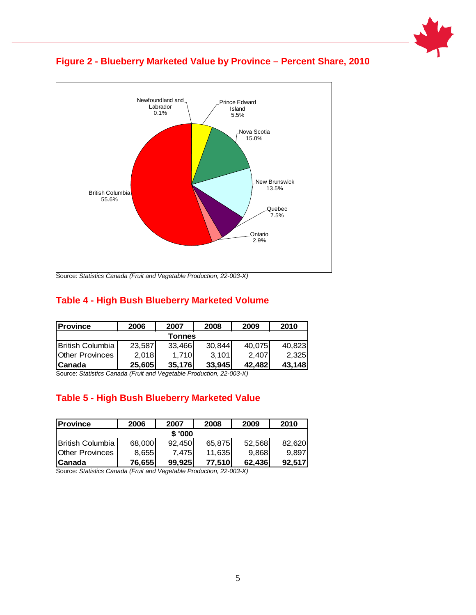



#### **Figure 2 - Blueberry Marketed Value by Province – Percent Share, 2010**

#### <span id="page-6-0"></span>**Table 4 - High Bush Blueberry Marketed Volume**

| <b>Province</b>        | 2006   | 2007   | 2008   | 2009   | 2010   |  |  |  |
|------------------------|--------|--------|--------|--------|--------|--|--|--|
| Tonnes                 |        |        |        |        |        |  |  |  |
| IBritish Columbia      | 23,587 | 33,466 | 30,844 | 40,075 | 40,823 |  |  |  |
| <b>Other Provinces</b> | 2.018  | 1.710  | 3.101  | 2.407  | 2.325  |  |  |  |
| lCanada                | 25,605 | 35.176 | 33.945 | 42.482 | 43,148 |  |  |  |

Source: *Statistics Canada (Fruit and Vegetable Production, 22-003-X)*

#### <span id="page-6-1"></span>**Table 5 - High Bush Blueberry Marketed Value**

| <b>IProvince</b>       | 2006   | 2007   | 2008   | 2009   | 2010   |  |  |
|------------------------|--------|--------|--------|--------|--------|--|--|
| \$'000                 |        |        |        |        |        |  |  |
| IBritish Columbia      | 68,000 | 92.450 | 65,875 | 52,568 | 82.620 |  |  |
| <b>Other Provinces</b> | 8,655  | 7.475I | 11,635 | 9,868  | 9.897  |  |  |
| l Canada               | 76,655 | 99.925 | 77.510 | 62,436 | 92,517 |  |  |

Source: *Statistics Canada (Fruit and Vegetable Production, 22-003-X)*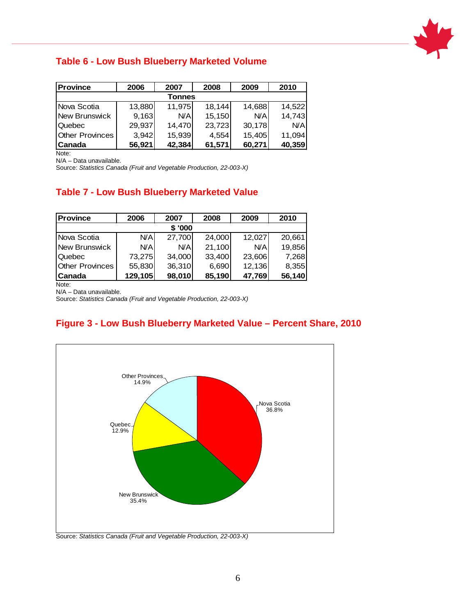

#### <span id="page-7-0"></span>**Table 6 - Low Bush Blueberry Marketed Volume**

| <b>Province</b>        | 2006   | 2007   | 2008   | 2009       | 2010       |  |  |  |
|------------------------|--------|--------|--------|------------|------------|--|--|--|
| Tonnes                 |        |        |        |            |            |  |  |  |
| Nova Scotia            | 13,880 | 11,975 | 18,144 | 14,688     | 14,522     |  |  |  |
| New Brunswick          | 9,163  | N/A    | 15,150 | <b>N/A</b> | 14,743     |  |  |  |
| Quebec                 | 29,937 | 14,470 | 23,723 | 30,178     | <b>N/A</b> |  |  |  |
| <b>Other Provinces</b> | 3,942  | 15,939 | 4,554  | 15,405     | 11,094     |  |  |  |
| <b>Canada</b>          | 56,921 | 42,384 | 61,571 | 60,271     | 40,359     |  |  |  |

Note:

N/A – Data unavailable.

Source: *Statistics Canada (Fruit and Vegetable Production, 22-003-X)*

#### <span id="page-7-1"></span>**Table 7 - Low Bush Blueberry Marketed Value**

| <b>Province</b>        | 2006    | 2007   | 2008   | 2009   | 2010   |  |  |  |
|------------------------|---------|--------|--------|--------|--------|--|--|--|
| \$'000                 |         |        |        |        |        |  |  |  |
| lNova Scotia           | N/A     | 27,700 | 24,000 | 12,027 | 20,661 |  |  |  |
| New Brunswick          | N/A     | N/A    | 21,100 | N/A    | 19,856 |  |  |  |
| Quebec                 | 73,275  | 34,000 | 33,400 | 23,606 | 7,268  |  |  |  |
| <b>Other Provinces</b> | 55,830  | 36,310 | 6,690  | 12,136 | 8,355  |  |  |  |
| <b>Canada</b>          | 129,105 | 98,010 | 85,190 | 47,769 | 56,140 |  |  |  |

Note:

N/A – Data unavailable.

Source: *Statistics Canada (Fruit and Vegetable Production, 22-003-X)*

#### **Figure 3 - Low Bush Blueberry Marketed Value – Percent Share, 2010**



Source: *Statistics Canada (Fruit and Vegetable Production, 22-003-X)*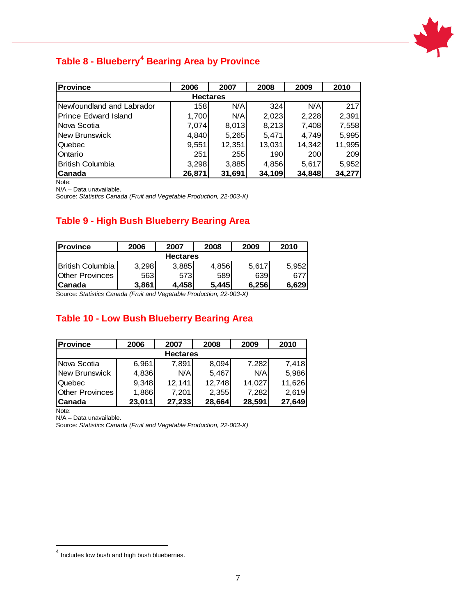

# <span id="page-8-0"></span>**Table 8 - Blueberry[4](#page-8-3) Bearing Area by Province**

| <b>Province</b>             | 2006   | 2007       | 2008   | 2009   | 2010   |  |  |  |
|-----------------------------|--------|------------|--------|--------|--------|--|--|--|
| <b>Hectares</b>             |        |            |        |        |        |  |  |  |
| Newfoundland and Labrador   | 158    | <b>N/A</b> | 324    | N/A    | 217    |  |  |  |
| <b>Prince Edward Island</b> | 1,700  | <b>N/A</b> | 2,023  | 2,228  | 2,391  |  |  |  |
| Nova Scotia                 | 7,074  | 8,013      | 8,213  | 7,408  | 7,558  |  |  |  |
| New Brunswick               | 4,840  | 5,265      | 5,471  | 4,749  | 5,995  |  |  |  |
| Quebec                      | 9,551  | 12,351     | 13,031 | 14,342 | 11,995 |  |  |  |
| Ontario                     | 251    | 255        | 190    | 200    | 209    |  |  |  |
| <b>British Columbia</b>     | 3,298  | 3,885      | 4,856  | 5,617  | 5,952  |  |  |  |
| Canada                      | 26,871 | 31,691     | 34,109 | 34,848 | 34,277 |  |  |  |

Note:

N/A – Data unavailable.

Source: *Statistics Canada (Fruit and Vegetable Production, 22-003-X)*

#### <span id="page-8-1"></span>**Table 9 - High Bush Blueberry Bearing Area**

| <b>Province</b>         | 2006  | 2007  | 2008  | 2009  | 2010  |  |  |  |
|-------------------------|-------|-------|-------|-------|-------|--|--|--|
| <b>Hectares</b>         |       |       |       |       |       |  |  |  |
| <b>British Columbia</b> | 3.298 | 3,885 | 4,856 | 5.617 | 5.952 |  |  |  |
| <b>Other Provinces</b>  | 563   | 573   | 589   | 639   | 677   |  |  |  |
| 'Canada                 | 3.861 | 4.458 | 5.445 | 6.256 | 6.629 |  |  |  |

Source: *Statistics Canada (Fruit and Vegetable Production, 22-003-X)*

#### <span id="page-8-2"></span>**Table 10 - Low Bush Blueberry Bearing Area**

| <b>Province</b>        | 2006   | 2007   | 2008   | 2009   | 2010   |  |  |  |
|------------------------|--------|--------|--------|--------|--------|--|--|--|
| <b>Hectares</b>        |        |        |        |        |        |  |  |  |
| Nova Scotia            | 6,961  | 7,891  | 8,094  | 7,282  | 7,418  |  |  |  |
| <b>New Brunswick</b>   | 4,836  | N/A    | 5,467  | N/A    | 5,986  |  |  |  |
| Quebec                 | 9,348  | 12,141 | 12,748 | 14,027 | 11,626 |  |  |  |
| <b>Other Provinces</b> | 1,866  | 7,201  | 2,355  | 7.282  | 2.619  |  |  |  |
| Canada                 | 23,011 | 27,233 | 28,664 | 28,591 | 27,649 |  |  |  |

Note:

N/A – Data unavailable.

<span id="page-8-3"></span> $<sup>4</sup>$  Includes low bush and high bush blueberries.</sup>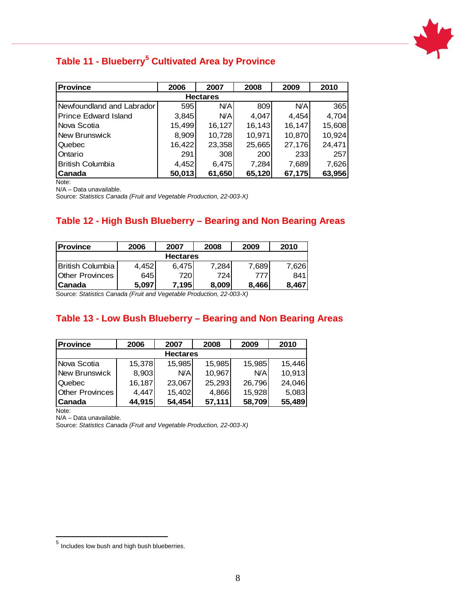

### <span id="page-9-0"></span>**Table 11 - Blueberry[5](#page-9-3) Cultivated Area by Province**

| <b>Province</b>             | 2006   | 2007       | 2008    | 2009   | 2010   |  |  |  |  |
|-----------------------------|--------|------------|---------|--------|--------|--|--|--|--|
| <b>Hectares</b>             |        |            |         |        |        |  |  |  |  |
| Newfoundland and Labrador   | 595    | <b>N/A</b> | 809     | N/A    | 365    |  |  |  |  |
| <b>Prince Edward Island</b> | 3,845  | <b>N/A</b> | 4,047   | 4,454  | 4,704  |  |  |  |  |
| Nova Scotia                 | 15,499 | 16,127     | 16, 143 | 16,147 | 15,608 |  |  |  |  |
| New Brunswick               | 8,909  | 10,728     | 10,971  | 10,870 | 10,924 |  |  |  |  |
| Quebec                      | 16,422 | 23,358     | 25,665  | 27,176 | 24,471 |  |  |  |  |
| Ontario                     | 291    | 308        | 200     | 233    | 257    |  |  |  |  |
| <b>British Columbia</b>     | 4,452  | 6,475      | 7,284   | 7,689  | 7,626  |  |  |  |  |
| Canada                      | 50,013 | 61,650     | 65,120  | 67,175 | 63,956 |  |  |  |  |

Note:

N/A – Data unavailable.

Source: *Statistics Canada (Fruit and Vegetable Production, 22-003-X)*

#### <span id="page-9-1"></span>**Table 12 - High Bush Blueberry – Bearing and Non Bearing Areas**

| <b>Province</b>         | 2006  | 2007   | 2008   | 2009  | 2010  |  |  |  |  |
|-------------------------|-------|--------|--------|-------|-------|--|--|--|--|
| <b>Hectares</b>         |       |        |        |       |       |  |  |  |  |
| <b>British Columbia</b> | 4,452 | 6.475  | 7.284l | 7,689 | 7,626 |  |  |  |  |
| <b>Other Provinces</b>  | 645   | 720    | 724    | 777   | 841   |  |  |  |  |
| l Canada                | 5.097 | 7.1951 | 8.009  | 8.466 | 8.467 |  |  |  |  |

Source: *Statistics Canada (Fruit and Vegetable Production, 22-003-X)*

#### <span id="page-9-2"></span>**Table 13 - Low Bush Blueberry – Bearing and Non Bearing Areas**

| <b>Province</b>        | 2006   | 2007   | 2008   | 2009   | 2010   |  |  |  |
|------------------------|--------|--------|--------|--------|--------|--|--|--|
| <b>Hectares</b>        |        |        |        |        |        |  |  |  |
| INova Scotia           | 15,378 | 15,985 | 15,985 | 15,985 | 15.446 |  |  |  |
| New Brunswick          | 8,903  | N/A    | 10,967 | N/A    | 10,913 |  |  |  |
| Quebec                 | 16,187 | 23,067 | 25,293 | 26,796 | 24,046 |  |  |  |
| <b>Other Provinces</b> | 4,447  | 15,402 | 4,866  | 15,928 | 5,083  |  |  |  |
| Canada                 | 44,915 | 54,454 | 57,111 | 58,709 | 55,489 |  |  |  |

Note:

N/A – Data unavailable.

<span id="page-9-3"></span> $<sup>5</sup>$  Includes low bush and high bush blueberries.</sup>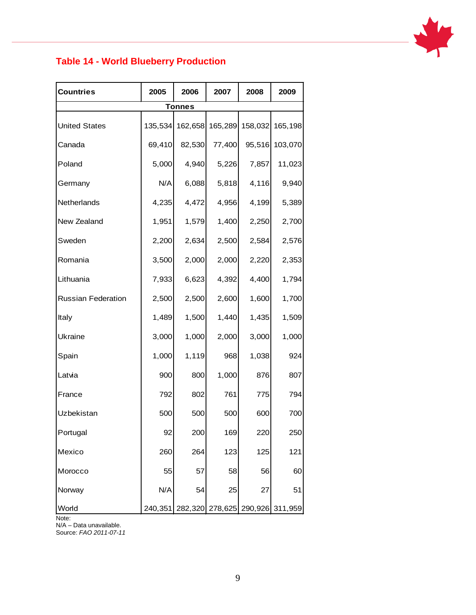

### <span id="page-10-0"></span>**Table 14 - World Blueberry Production**

| <b>Countries</b>          | 2005    | 2006          | 2007                    | 2008  | 2009            |
|---------------------------|---------|---------------|-------------------------|-------|-----------------|
|                           |         | <b>Tonnes</b> |                         |       |                 |
| <b>United States</b>      | 135,534 | 162,658       | 165,289                 |       | 158,032 165,198 |
| Canada                    | 69,410  | 82,530        | 77,400                  |       | 95,516 103,070  |
| Poland                    | 5,000   | 4,940         | 5,226                   | 7,857 | 11,023          |
| Germany                   | N/A     | 6,088         | 5,818                   | 4,116 | 9,940           |
| Netherlands               | 4,235   | 4,472         | 4,956                   | 4,199 | 5,389           |
| New Zealand               | 1,951   | 1,579         | 1,400                   | 2,250 | 2,700           |
| Sweden                    | 2,200   | 2,634         | 2,500                   | 2,584 | 2,576           |
| Romania                   | 3,500   | 2,000         | 2,000                   | 2,220 | 2,353           |
| Lithuania                 | 7,933   | 6,623         | 4,392                   | 4,400 | 1,794           |
| <b>Russian Federation</b> | 2,500   | 2,500         | 2,600                   | 1,600 | 1,700           |
| Italy                     | 1,489   | 1,500         | 1,440                   | 1,435 | 1,509           |
| Ukraine                   | 3,000   | 1,000         | 2,000                   | 3,000 | 1,000           |
| Spain                     | 1,000   | 1,119         | 968                     | 1,038 | 924             |
| Latvia                    | 900     | 800           | 1,000                   | 876   | 807             |
| France                    | 792     | 802           | 761                     | 775   | 794             |
| Uzbekistan                | 500     | 500           | 500                     | 600   | 700             |
| Portugal                  | 92      | 200           | 169                     | 220   | 250             |
| Mexico                    | 260     | 264           | 123                     | 125   | 121             |
| Morocco                   | 55      | 57            | 58                      | 56    | 60              |
| Norway                    | N/A     | 54            | 25                      | 27    | 51              |
| World                     | 240,351 | 282,320       | 278,625 290,926 311,959 |       |                 |

Note:

N/A – Data unavailable. Source: *FAO 2011-07-11*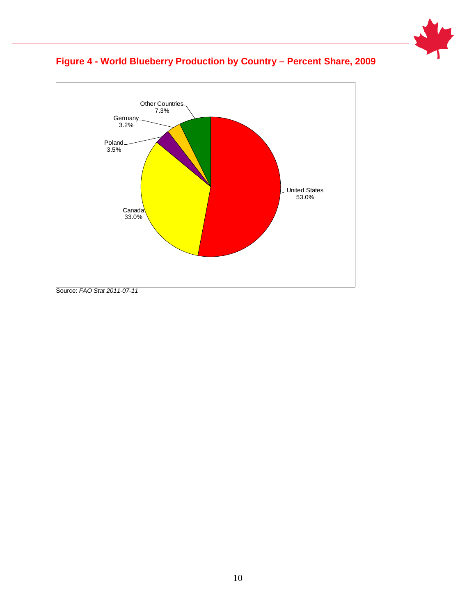





Source: *FAO Stat 2011-07-11*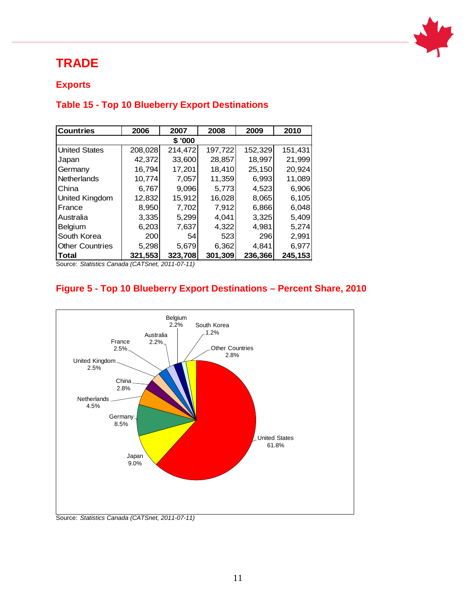

# <span id="page-12-0"></span>**TRADE**

#### <span id="page-12-1"></span>**Exports**

#### <span id="page-12-2"></span>**Table 15 - Top 10 Blueberry Export Destinations**

| <b>Countries</b>       | 2006    | 2007    | 2008    | 2009    | 2010    |  |  |  |
|------------------------|---------|---------|---------|---------|---------|--|--|--|
| \$'000                 |         |         |         |         |         |  |  |  |
| <b>United States</b>   | 208,028 | 214,472 | 197,722 | 152,329 | 151,431 |  |  |  |
| Japan                  | 42,372  | 33,600  | 28,857  | 18.997  | 21,999  |  |  |  |
| Germany                | 16,794  | 17,201  | 18,410  | 25,150  | 20,924  |  |  |  |
| <b>Netherlands</b>     | 10,774  | 7,057   | 11,359  | 6,993   | 11,089  |  |  |  |
| China                  | 6,767   | 9,096   | 5,773   | 4,523   | 6,906   |  |  |  |
| United Kingdom         | 12,832  | 15,912  | 16,028  | 8,065   | 6,105   |  |  |  |
| France                 | 8,950   | 7,702   | 7,912   | 6,866   | 6,048   |  |  |  |
| Australia              | 3,335   | 5,299   | 4.041   | 3,325   | 5,409   |  |  |  |
| <b>Belgium</b>         | 6,203   | 7,637   | 4,322   | 4,981   | 5,274   |  |  |  |
| South Korea            | 200     | 54      | 523     | 296     | 2,991   |  |  |  |
| <b>Other Countries</b> | 5,298   | 5,679   | 6,362   | 4.841   | 6,977   |  |  |  |
| <b>Total</b>           | 321,553 | 323,708 | 301,309 | 236,366 | 245,153 |  |  |  |

Source: *Statistics Canada (CATSnet, 2011-07-11)*

### **Figure 5 - Top 10 Blueberry Export Destinations – Percent Share, 2010**

<span id="page-12-3"></span>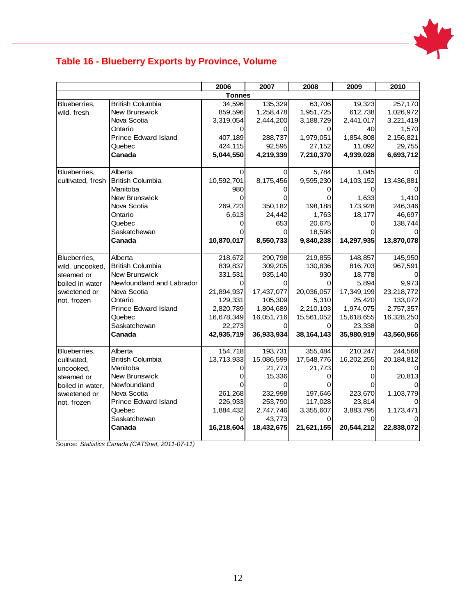

### **Table 16 - Blueberry Exports by Province, Volume**

| <b>Tonnes</b><br><b>British Columbia</b><br>135,329<br>Blueberries,<br>34,596<br>New Brunswick<br>859,596<br>1,258,478<br>wild, fresh<br>Nova Scotia<br>3,319,054<br>2,444,200<br>Ontario<br>0<br>0<br><b>Prince Edward Island</b><br>407,189<br>288,737<br>424,115<br>92,595<br>Quebec<br>5,044,550<br>4,219,339<br>Canada | 63,706<br>1,951,725<br>3,188,729<br>O<br>1,979,051<br>27,152<br>7,210,370<br>5,784<br>9,595,230 | 19,323<br>612,738<br>2,441,017<br>40<br>1,854,808<br>11,092<br>4,939,028<br>1,045<br>14, 103, 152 | 257,170<br>1,026,972<br>3,221,419<br>1,570<br>2,156,821<br>29,755<br>6,693,712 |
|-----------------------------------------------------------------------------------------------------------------------------------------------------------------------------------------------------------------------------------------------------------------------------------------------------------------------------|-------------------------------------------------------------------------------------------------|---------------------------------------------------------------------------------------------------|--------------------------------------------------------------------------------|
|                                                                                                                                                                                                                                                                                                                             |                                                                                                 |                                                                                                   |                                                                                |
|                                                                                                                                                                                                                                                                                                                             |                                                                                                 |                                                                                                   |                                                                                |
|                                                                                                                                                                                                                                                                                                                             |                                                                                                 |                                                                                                   |                                                                                |
|                                                                                                                                                                                                                                                                                                                             |                                                                                                 |                                                                                                   |                                                                                |
|                                                                                                                                                                                                                                                                                                                             |                                                                                                 |                                                                                                   |                                                                                |
|                                                                                                                                                                                                                                                                                                                             |                                                                                                 |                                                                                                   |                                                                                |
|                                                                                                                                                                                                                                                                                                                             |                                                                                                 |                                                                                                   |                                                                                |
|                                                                                                                                                                                                                                                                                                                             |                                                                                                 |                                                                                                   |                                                                                |
|                                                                                                                                                                                                                                                                                                                             |                                                                                                 |                                                                                                   |                                                                                |
| Blueberries,<br>Alberta<br>0<br>0                                                                                                                                                                                                                                                                                           |                                                                                                 |                                                                                                   |                                                                                |
| <b>British Columbia</b><br>10,592,701<br>8,175,456<br>cultivated, fresh                                                                                                                                                                                                                                                     |                                                                                                 |                                                                                                   | 13,436,881                                                                     |
| Manitoba<br>980                                                                                                                                                                                                                                                                                                             |                                                                                                 |                                                                                                   |                                                                                |
| New Brunswick<br>O                                                                                                                                                                                                                                                                                                          |                                                                                                 | 1,633                                                                                             | 1,410                                                                          |
| Nova Scotia<br>269,723<br>350,182                                                                                                                                                                                                                                                                                           | 198,188                                                                                         | 173,928                                                                                           | 246,346                                                                        |
| Ontario<br>6,613<br>24,442                                                                                                                                                                                                                                                                                                  | 1,763                                                                                           | 18,177                                                                                            | 46,697                                                                         |
| Quebec<br>653<br>0                                                                                                                                                                                                                                                                                                          | 20,675                                                                                          | 0                                                                                                 | 138,744                                                                        |
| Saskatchewan<br>0                                                                                                                                                                                                                                                                                                           | 18,598                                                                                          |                                                                                                   |                                                                                |
| 10,870,017<br>8,550,733<br>Canada                                                                                                                                                                                                                                                                                           | 9,840,238                                                                                       | 14,297,935                                                                                        | 13,870,078                                                                     |
| Alberta<br>218,672<br>290,798<br>Blueberries,                                                                                                                                                                                                                                                                               | 219,855                                                                                         | 148,857                                                                                           | 145,950                                                                        |
| <b>British Columbia</b><br>839,837<br>309,205<br>wild, uncooked,                                                                                                                                                                                                                                                            | 130,836                                                                                         | 816,703                                                                                           | 967,591                                                                        |
| <b>New Brunswick</b><br>steamed or<br>331,531<br>935,140                                                                                                                                                                                                                                                                    | 930                                                                                             | 18,778                                                                                            |                                                                                |
| Newfoundland and Labrador<br>boiled in water<br>0                                                                                                                                                                                                                                                                           | 0                                                                                               | 5,894                                                                                             | 9,973                                                                          |
| 17,437,077<br>Nova Scotia<br>21,894,937<br>sweetened or                                                                                                                                                                                                                                                                     | 20,036,057                                                                                      | 17,349,199                                                                                        | 23,218,772                                                                     |
| 129,331<br>105,309<br>Ontario<br>not, frozen                                                                                                                                                                                                                                                                                | 5,310                                                                                           | 25,420                                                                                            | 133,072                                                                        |
| <b>Prince Edward Island</b><br>1,804,689<br>2,820,789                                                                                                                                                                                                                                                                       | 2,210,103                                                                                       | 1,974,075                                                                                         | 2,757,357                                                                      |
| 16,678,349<br>16,051,716<br>Quebec                                                                                                                                                                                                                                                                                          | 15,561,052                                                                                      | 15,618,655                                                                                        | 16,328,250                                                                     |
| Saskatchewan<br>22,273                                                                                                                                                                                                                                                                                                      |                                                                                                 | 23,338                                                                                            |                                                                                |
| 42,935,719<br>Canada<br>36,933,934                                                                                                                                                                                                                                                                                          | 38,164,143                                                                                      | 35,980,919                                                                                        | 43,560,965                                                                     |
| Alberta<br>154,718<br>193,731<br>Blueberries,                                                                                                                                                                                                                                                                               | 355,484                                                                                         | 210,247                                                                                           | 244,568                                                                        |
| <b>British Columbia</b><br>13,713,933<br>15,086,599<br>cultivated,                                                                                                                                                                                                                                                          | 17,548,776                                                                                      | 16,202,255                                                                                        | 20,184,812                                                                     |
| Manitoba<br>21,773<br>uncooked,<br>0                                                                                                                                                                                                                                                                                        | 21,773                                                                                          |                                                                                                   |                                                                                |
| New Brunswick<br>15,336<br>steamed or                                                                                                                                                                                                                                                                                       |                                                                                                 | ი                                                                                                 | 20,813                                                                         |
| Newfoundland<br>boiled in water,                                                                                                                                                                                                                                                                                            |                                                                                                 |                                                                                                   |                                                                                |
| Nova Scotia<br>261,268<br>232,998<br>sweetened or                                                                                                                                                                                                                                                                           | 197,646                                                                                         | 223,670                                                                                           | 1,103,779                                                                      |
| <b>Prince Edward Island</b><br>226,933<br>253,790<br>not, frozen                                                                                                                                                                                                                                                            | 117,028                                                                                         | 23,814                                                                                            |                                                                                |
| 2,747,746<br>Quebec<br>1,884,432                                                                                                                                                                                                                                                                                            | 3,355,607                                                                                       | 3,883,795                                                                                         | 1,173,471                                                                      |
| Saskatchewan<br>43.773<br>0                                                                                                                                                                                                                                                                                                 |                                                                                                 |                                                                                                   |                                                                                |
| 16,218,604<br>Canada<br>18,432,675                                                                                                                                                                                                                                                                                          | 21,621,155                                                                                      | 20,544,212                                                                                        | 22,838,072                                                                     |

<span id="page-13-0"></span>Source: *Statistics Canada (CATSnet, 2011-07-11)*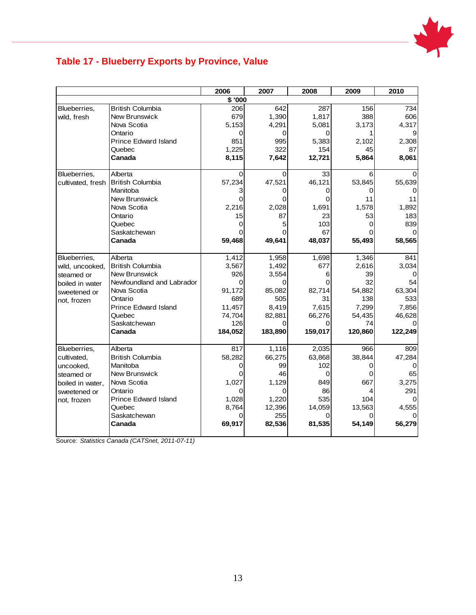

### **Table 17 - Blueberry Exports by Province, Value**

|                   |                                     | 2006        | 2007        | 2008        | 2009        | 2010        |
|-------------------|-------------------------------------|-------------|-------------|-------------|-------------|-------------|
|                   |                                     | \$ '000     |             |             |             |             |
| Blueberries,      | <b>British Columbia</b>             | 206         | 642         | 287         | 156         | 734         |
| wild, fresh       | New Brunswick                       | 679         | 1,390       | 1,817       | 388         | 606         |
|                   | Nova Scotia                         | 5,153       | 4,291       | 5,081       | 3,173       | 4,317       |
|                   | Ontario                             | 0           | 0           | 0           |             |             |
|                   | <b>Prince Edward Island</b>         | 851         | 995         | 5,383       | 2,102       | 2,308       |
|                   | Quebec                              | 1,225       | 322         | 154         | 45          | 87          |
|                   | Canada                              | 8,115       | 7,642       | 12,721      | 5,864       | 8,061       |
|                   | Alberta                             | 0           |             | 33          |             |             |
| Blueberries,      |                                     |             | 0           |             | 6           |             |
| cultivated, fresh | <b>British Columbia</b><br>Manitoba | 57,234<br>3 | 47,521      | 46,121<br>0 | 53,845      | 55,639      |
|                   |                                     |             |             |             |             |             |
|                   | New Brunswick<br>Nova Scotia        | 0<br>2,216  | 2,028       | 0<br>1,691  | 11<br>1,578 | 11<br>1,892 |
|                   |                                     | 15          | 87          |             | 53          |             |
|                   | Ontario                             |             |             | 23          |             | 183         |
|                   | Quebec                              | 0           | 5           | 103         | 0           | 839         |
|                   | Saskatchewan<br>Canada              | 59,468      | ი<br>49,641 | 67          |             |             |
|                   |                                     |             |             | 48,037      | 55,493      | 58,565      |
| Blueberries.      | Alberta                             | 1,412       | 1,958       | 1,698       | 1,346       | 841         |
| wild, uncooked,   | <b>British Columbia</b>             | 3,567       | 1,492       | 677         | 2,616       | 3,034       |
| steamed or        | New Brunswick                       | 926         | 3,554       | 6           | 39          |             |
| boiled in water   | Newfoundland and Labrador           | 0           | 0           | $\Omega$    | 32          | 54          |
| sweetened or      | Nova Scotia                         | 91,172      | 85,082      | 82,714      | 54,882      | 63,304      |
| not, frozen       | Ontario                             | 689         | 505         | 31          | 138         | 533         |
|                   | <b>Prince Edward Island</b>         | 11,457      | 8,419       | 7,615       | 7,299       | 7,856       |
|                   | Quebec                              | 74,704      | 82,881      | 66,276      | 54,435      | 46,628      |
|                   | Saskatchewan                        | 126         | 0           | 0           | 74          |             |
|                   | Canada                              | 184,052     | 183,890     | 159,017     | 120,860     | 122,249     |
| Blueberries,      | Alberta                             | 817         | 1,116       | 2,035       | 966         | 809         |
| cultivated,       | <b>British Columbia</b>             | 58,282      | 66,275      | 63,868      | 38,844      | 47,284      |
| uncooked,         | Manitoba                            | 0           | 99          | 102         | O           | ∩           |
| steamed or        | New Brunswick                       | 0           | 46          | $\Omega$    | O           | 65          |
| boiled in water,  | Nova Scotia                         | 1,027       | 1,129       | 849         | 667         | 3,275       |
| sweetened or      | Ontario                             | 0           | 0           | 86          |             | 291         |
|                   | <b>Prince Edward Island</b>         | 1,028       | 1,220       | 535         | 104         |             |
| not, frozen       | Quebec                              | 8,764       | 12,396      | 14,059      | 13,563      | 4,555       |
|                   | Saskatchewan                        | O           | 255         | $\Omega$    |             |             |
|                   | Canada                              | 69,917      | 82,536      | 81,535      | 54,149      | 56,279      |
|                   |                                     |             |             |             |             |             |

Source: *Statistics Canada (CATSnet, 2011-07-11)*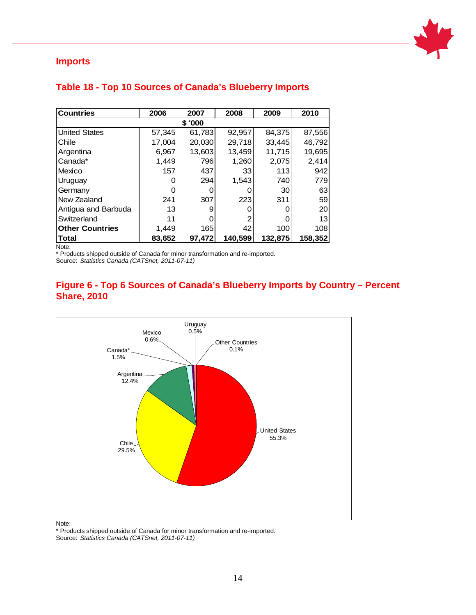

#### <span id="page-15-0"></span>**Imports**

| <b>Countries</b>       | 2006   | 2007   | 2008    | 2009    | 2010    |  |  |  |
|------------------------|--------|--------|---------|---------|---------|--|--|--|
| \$'000                 |        |        |         |         |         |  |  |  |
| <b>United States</b>   | 57,345 | 61,783 | 92,957  | 84,375  | 87,556  |  |  |  |
| Chile                  | 17,004 | 20,030 | 29,718  | 33,445  | 46,792  |  |  |  |
| Argentina              | 6,967  | 13,603 | 13,459  | 11,715  | 19,695  |  |  |  |
| Canada*                | 1,449  | 796    | 1,260   | 2,075   | 2,414   |  |  |  |
| Mexico                 | 157    | 437    | 33      | 113     | 942     |  |  |  |
| Uruguay                |        | 294    | 1,543   | 740     | 779     |  |  |  |
| Germany                |        |        |         | 30      | 63      |  |  |  |
| New Zealand            | 241    | 307    | 223     | 311     | 59      |  |  |  |
| Antigua and Barbuda    | 13     | 9      |         |         | 20      |  |  |  |
| Switzerland            | 11     |        |         |         | 13      |  |  |  |
| <b>Other Countries</b> | 1,449  | 165    | 42      | 100     | 108     |  |  |  |
| <b>Total</b>           | 83,652 | 97,472 | 140,599 | 132,875 | 158,352 |  |  |  |

#### <span id="page-15-1"></span>**Table 18 - Top 10 Sources of Canada's Blueberry Imports**

Note:

\* Products shipped outside of Canada for minor transformation and re-imported. Source: *Statistics Canada (CATSnet, 2011-07-11)*

#### **Figure 6 - Top 6 Sources of Canada's Blueberry Imports by Country – Percent Share, 2010**



\* Products shipped outside of Canada for minor transformation and re-imported. Source: *Statistics Canada (CATSnet, 2011-07-11)*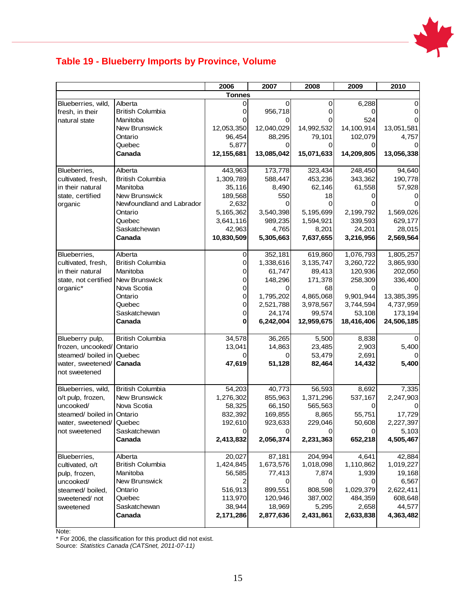

### <span id="page-16-0"></span>**Table 19 - Blueberry Imports by Province, Volume**

|                      |                           | 2006          | 2007       | 2008        | 2009       | 2010       |
|----------------------|---------------------------|---------------|------------|-------------|------------|------------|
|                      |                           | <b>Tonnes</b> |            |             |            |            |
| Blueberries, wild,   | Alberta                   | 0             | 0          | 0           | 6,288      |            |
| fresh, in their      | <b>British Columbia</b>   |               | 956,718    | 0           |            |            |
| natural state        | Manitoba                  |               |            | O           | 524        |            |
|                      | New Brunswick             | 12,053,350    | 12,040,029 | 14,992,532  | 14,100,914 | 13,051,581 |
|                      | Ontario                   | 96,454        | 88,295     | 79,101      | 102,079    | 4,757      |
|                      | Quebec                    | 5,877         | 0          | 0           |            |            |
|                      | Canada                    | 12,155,681    | 13,085,042 | 15,071,633  | 14,209,805 | 13,056,338 |
|                      |                           |               |            |             |            |            |
| Blueberries,         | Alberta                   | 443,963       | 173,778    | 323,434     | 248,450    | 94,640     |
| cultivated, fresh,   | <b>British Columbia</b>   | 1,309,789     | 588,447    | 453,236     | 343,362    | 190,778    |
| in their natural     | Manitoba                  | 35,116        | 8,490      | 62,146      | 61,558     | 57,928     |
| state, certified     | <b>New Brunswick</b>      | 189,568       | 550        | 18          |            |            |
| organic              | Newfoundland and Labrador | 2,632         | 0          |             |            |            |
|                      | Ontario                   | 5,165,362     | 3,540,398  | 5,195,699   | 2,199,792  | 1,569,026  |
|                      | Quebec                    | 3,641,116     | 989,235    | 1,594,921   | 339,593    | 629,177    |
|                      | Saskatchewan              | 42,963        | 4,765      | 8,201       | 24,201     | 28,015     |
|                      | Canada                    | 10,830,509    | 5,305,663  | 7,637,655   | 3,216,956  | 2,569,564  |
|                      |                           |               |            |             |            |            |
| Blueberries,         | Alberta                   | 0             | 352,181    | 619,860     | 1,076,793  | 1,805,257  |
| cultivated, fresh,   | <b>British Columbia</b>   | 0             | 1,338,616  | 3, 135, 747 | 3,260,722  | 3,865,930  |
| in their natural     | Manitoba                  | 0             | 61,747     | 89,413      | 120,936    | 202,050    |
| state, not certified | <b>New Brunswick</b>      | 0             | 148,296    | 171,378     | 258,309    | 336,400    |
| organic*             | Nova Scotia               | 0             | 0          | 68          |            |            |
|                      | Ontario                   | 0             | 1,795,202  | 4,865,068   | 9,901,944  | 13,385,395 |
|                      | Quebec                    | 0             | 2,521,788  | 3,978,567   | 3,744,594  | 4,737,959  |
|                      | Saskatchewan              | 0             | 24,174     | 99,574      | 53,108     | 173,194    |
|                      | Canada                    | 0             | 6,242,004  | 12,959,675  | 18,416,406 | 24,506,185 |
|                      |                           |               |            |             |            |            |
| Blueberry pulp,      | <b>British Columbia</b>   | 34,578        | 36,265     | 5,500       | 8,838      |            |
| frozen, uncooked/    | Ontario                   | 13,041        | 14,863     | 23,485      | 2,903      | 5,400      |
| steamed/ boiled in   | Quebec                    | Ω             | 0          | 53,479      | 2,691      |            |
| water, sweetened/    | Canada                    | 47,619        | 51,128     | 82,464      | 14,432     | 5,400      |
| not sweetened        |                           |               |            |             |            |            |
|                      |                           |               |            |             |            |            |
| Blueberries, wild,   | <b>British Columbia</b>   | 54,203        | 40,773     | 56,593      | 8,692      | 7,335      |
| o/t pulp, frozen,    | <b>New Brunswick</b>      | 1,276,302     | 855,963    | 1,371,296   | 537,167    | 2,247,903  |
| uncooked/            | Nova Scotia               | 58,325        | 66,150     | 565,563     |            |            |
| steamed/boiled in    | Ontario                   | 832,392       | 169,855    | 8,865       | 55,751     | 17,729     |
| water, sweetened/    | Quebec                    | 192,610       | 923,633    | 229,046     | 50,608     | 2,227,397  |
| not sweetened        | Saskatchewan              |               |            |             | U          | 5,103      |
|                      | Canada                    | 2,413,832     | 2,056,374  | 2,231,363   | 652,218    | 4,505,467  |
| Blueberries,         | Alberta                   | 20,027        | 87,181     | 204,994     | 4,641      | 42,884     |
| cultivated, o/t      | <b>British Columbia</b>   | 1,424,845     | 1,673,576  | 1,018,098   | 1,110,862  | 1,019,227  |
| pulp, frozen,        | Manitoba                  | 56,585        | 77,413     | 7,874       | 1,939      | 19,168     |
| uncooked/            | New Brunswick             | 2             | 0          | 0           | 0          | 6,567      |
| steamed/ boiled,     | Ontario                   | 516,913       | 899,551    | 808,598     | 1,029,379  | 2,622,411  |
| sweetened/not        | Quebec                    | 113,970       | 120,946    | 387,002     | 484,359    | 608,648    |
| sweetened            | Saskatchewan              | 38,944        | 18,969     | 5,295       | 2,658      | 44,577     |
|                      | Canada                    | 2,171,286     | 2,877,636  | 2,431,861   | 2,633,838  | 4,363,482  |
|                      |                           |               |            |             |            |            |

Note:

\* For 2006, the classification for this product did not exist. Source: *Statistics Canada (CATSnet, 2011-07-11)*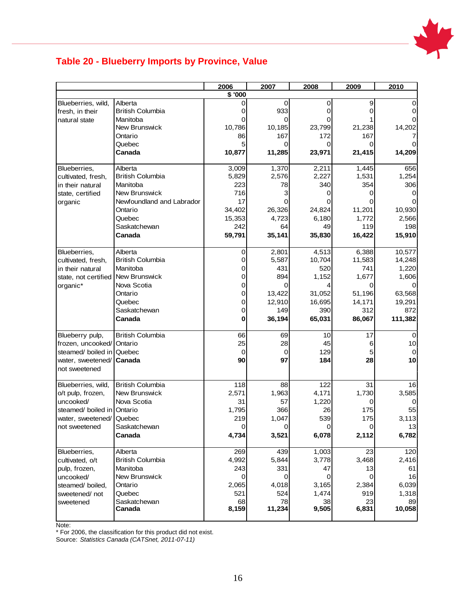

### <span id="page-17-0"></span>**Table 20 - Blueberry Imports by Province, Value**

|                            |                           | 2006    | 2007          | 2008          | 2009          | 2010          |
|----------------------------|---------------------------|---------|---------------|---------------|---------------|---------------|
|                            |                           | \$ '000 |               |               |               |               |
| Blueberries, wild,         | Alberta                   |         | 0             | 0             | 9             |               |
| fresh, in their            | <b>British Columbia</b>   | Ω       | 933           | 0             | ი             |               |
| natural state              | Manitoba                  |         |               |               |               |               |
|                            | New Brunswick             | 10,786  | 10,185        | 23,799        | 21,238        | 14,202        |
|                            | Ontario                   | 86      | 167           | 172           | 167           |               |
|                            | Quebec                    |         | ი             | Ω             |               |               |
|                            | Canada                    | 10,877  | 11,285        | 23,971        | 21,415        | 14,209        |
| Blueberries,               | Alberta                   | 3,009   | 1,370         | 2,211         | 1,445         | 656           |
| cultivated, fresh,         | <b>British Columbia</b>   | 5,829   | 2,576         | 2,227         | 1,531         | 1,254         |
| in their natural           | Manitoba                  | 223     | 78            | 340           | 354           | 306           |
| state, certified           | New Brunswick             | 716     | 3             | 0             | 0             |               |
| organic                    | Newfoundland and Labrador | 17      | Ω             |               |               |               |
|                            | Ontario                   | 34,402  | 26,326        | 24,824        | 11,201        | 10,930        |
|                            | Quebec                    | 15,353  | 4,723         | 6,180         | 1,772         | 2,566         |
|                            | Saskatchewan              | 242     | 64            | 49            | 119           | 198           |
|                            | Canada                    | 59,791  | 35,141        | 35,830        | 16,422        | 15,910        |
| Blueberries,               | Alberta                   |         | 2,801         | 4,513         | 6,388         | 10,577        |
| cultivated, fresh,         | <b>British Columbia</b>   | 0<br>0  | 5,587         | 10,704        | 11,583        | 14,248        |
| in their natural           | Manitoba                  | 0       | 431           | 520           | 741           | 1,220         |
|                            | <b>New Brunswick</b>      | 0       | 894           | 1,152         | 1,677         |               |
| state, not certified       | Nova Scotia               |         | 0             |               |               | 1,606         |
| organic*                   |                           | 0       |               |               | Ο             |               |
|                            | Ontario<br>Quebec         | 0<br>0  | 13,422        | 31,052        | 51,196        | 63,568        |
|                            |                           |         | 12,910        | 16,695<br>390 | 14,171<br>312 | 19,291<br>872 |
|                            | Saskatchewan              | 0<br>0  | 149<br>36,194 |               |               |               |
|                            | Canada                    |         |               | 65,031        | 86,067        | 111,382       |
| Blueberry pulp,            | <b>British Columbia</b>   | 66      | 69            | 10            | 17            | $\Omega$      |
| frozen, uncooked/ Ontario  |                           | 25      | 28            | 45            | 6             | 10            |
| steamed/ boiled in         | Quebec                    | 0       | 0             | 129           | 5             |               |
| water, sweetened/          | Canada                    | 90      | 97            | 184           | 28            | 10            |
| not sweetened              |                           |         |               |               |               |               |
| Blueberries, wild,         | <b>British Columbia</b>   | 118     | 88            | 122           | 31            | 16            |
| o/t pulp, frozen,          | New Brunswick             | 2,571   | 1,963         | 4,171         | 1,730         | 3,585         |
| uncooked/                  | Nova Scotia               | 31      | 57            | 1,220         | 0             | 0             |
| steamed/ boiled in Ontario |                           | 1,795   | 366           | 26            | 175           | 55            |
| water, sweetened/          | Quebec                    | 219     | 1,047         | 539           | 175           | 3,113         |
| not sweetened              | Saskatchewan              | 0       | 0             | 0             | 0             | 13            |
|                            | Canada                    | 4,734   | 3,521         | 6,078         | 2,112         | 6,782         |
| Blueberries,               | Alberta                   | 269     | 439           | 1,003         | 23            | 120           |
| cultivated, o/t            | <b>British Columbia</b>   | 4,992   | 5,844         | 3,778         | 3,468         | 2,416         |
| pulp, frozen,              | Manitoba                  | 243     | 331           | 47            | 13            | 61            |
| uncooked/                  | New Brunswick             | 0       | 0             | 0             | 0             | 16            |
| steamed/ boiled,           | Ontario                   | 2,065   | 4,018         | 3,165         | 2,384         | 6,039         |
| sweetened/not              | Quebec                    | 521     | 524           | 1,474         | 919           | 1,318         |
| sweetened                  | Saskatchewan              | 68      | 78            | 38            | 23            | 89            |
|                            | Canada                    | 8,159   | 11,234        | 9,505         | 6,831         | 10,058        |
| N <sub>loto</sub>          |                           |         |               |               |               |               |

Note:

\* For 2006, the classification for this product did not exist.

Source: *Statistics Canada (CATSnet, 2011-07-11)*